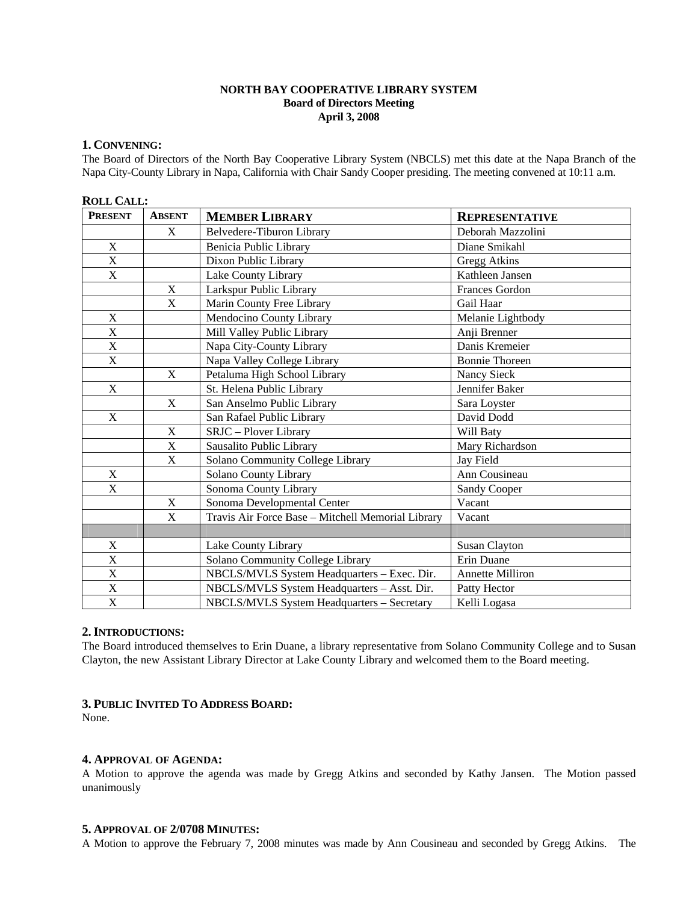# **NORTH BAY COOPERATIVE LIBRARY SYSTEM Board of Directors Meeting April 3, 2008**

## **1. CONVENING:**

The Board of Directors of the North Bay Cooperative Library System (NBCLS) met this date at the Napa Branch of the Napa City-County Library in Napa, California with Chair Sandy Cooper presiding. The meeting convened at 10:11 a.m.

# **ROLL CALL:**

| <b>PRESENT</b>            | <b>ABSENT</b>             | <b>MEMBER LIBRARY</b>                             | <b>REPRESENTATIVE</b>   |
|---------------------------|---------------------------|---------------------------------------------------|-------------------------|
|                           | $\mathbf{X}$              | Belvedere-Tiburon Library                         | Deborah Mazzolini       |
| X                         |                           | Benicia Public Library                            | Diane Smikahl           |
| $\mathbf X$               |                           | Dixon Public Library                              | <b>Gregg Atkins</b>     |
| $\boldsymbol{\mathrm{X}}$ |                           | Lake County Library                               | Kathleen Jansen         |
|                           | X                         | Larkspur Public Library                           | Frances Gordon          |
|                           | X                         | Marin County Free Library                         | Gail Haar               |
| X                         |                           | Mendocino County Library                          | Melanie Lightbody       |
| X                         |                           | Mill Valley Public Library                        | Anji Brenner            |
| $\mathbf X$               |                           | Napa City-County Library                          | Danis Kremeier          |
| X                         |                           | Napa Valley College Library                       | <b>Bonnie Thoreen</b>   |
|                           | X                         | Petaluma High School Library                      | Nancy Sieck             |
| $\mathbf X$               |                           | St. Helena Public Library                         | Jennifer Baker          |
|                           | X                         | San Anselmo Public Library                        | Sara Loyster            |
| X                         |                           | San Rafael Public Library                         | David Dodd              |
|                           | X                         | SRJC - Plover Library                             | Will Baty               |
|                           | $\mathbf X$               | Sausalito Public Library                          | Mary Richardson         |
|                           | $\boldsymbol{\mathrm{X}}$ | Solano Community College Library                  | Jay Field               |
| $\mathbf X$               |                           | Solano County Library                             | Ann Cousineau           |
| $\mathbf X$               |                           | Sonoma County Library                             | <b>Sandy Cooper</b>     |
|                           | $\mathbf X$               | Sonoma Developmental Center                       | Vacant                  |
|                           | X                         | Travis Air Force Base - Mitchell Memorial Library | Vacant                  |
|                           |                           |                                                   |                         |
| $\mathbf X$               |                           | Lake County Library                               | Susan Clayton           |
| $\overline{\text{X}}$     |                           | Solano Community College Library                  | Erin Duane              |
| $\boldsymbol{\mathrm{X}}$ |                           | NBCLS/MVLS System Headquarters - Exec. Dir.       | <b>Annette Milliron</b> |
| $\mathbf X$               |                           | NBCLS/MVLS System Headquarters - Asst. Dir.       | Patty Hector            |
| $\mathbf X$               |                           | NBCLS/MVLS System Headquarters - Secretary        | Kelli Logasa            |

## **2.INTRODUCTIONS:**

The Board introduced themselves to Erin Duane, a library representative from Solano Community College and to Susan Clayton, the new Assistant Library Director at Lake County Library and welcomed them to the Board meeting.

## **3. PUBLIC INVITED TO ADDRESS BOARD:**

None.

### **4. APPROVAL OF AGENDA:**

A Motion to approve the agenda was made by Gregg Atkins and seconded by Kathy Jansen. The Motion passed unanimously

### **5. APPROVAL OF 2/0708 MINUTES:**

A Motion to approve the February 7, 2008 minutes was made by Ann Cousineau and seconded by Gregg Atkins. The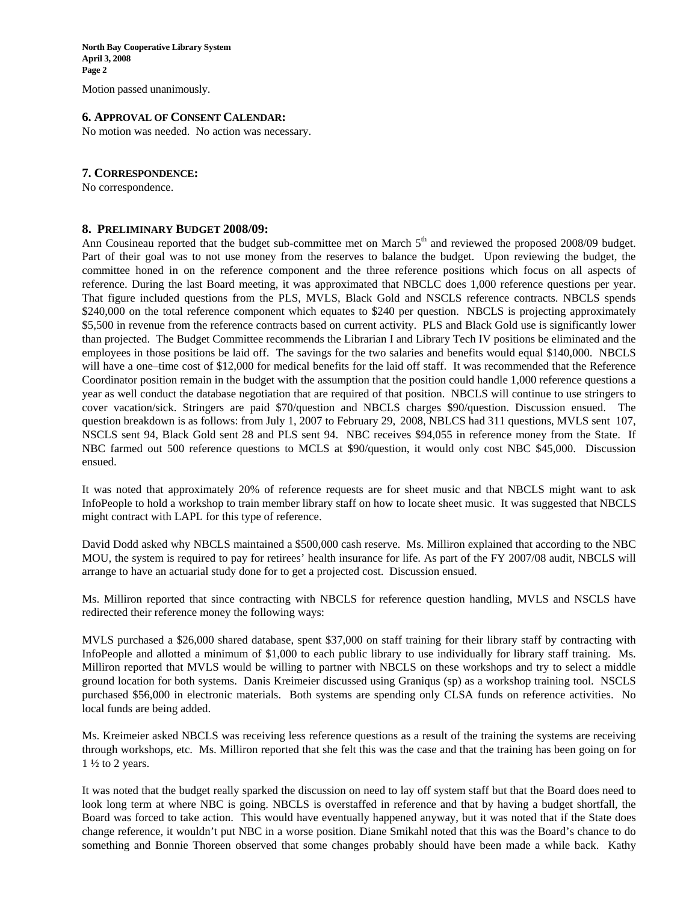**North Bay Cooperative Library System April 3, 2008 Page 2** 

Motion passed unanimously.

#### **6. APPROVAL OF CONSENT CALENDAR:**

No motion was needed. No action was necessary.

#### **7. CORRESPONDENCE:**

No correspondence.

### **8. PRELIMINARY BUDGET 2008/09:**

Ann Cousineau reported that the budget sub-committee met on March  $5<sup>th</sup>$  and reviewed the proposed 2008/09 budget. Part of their goal was to not use money from the reserves to balance the budget. Upon reviewing the budget, the committee honed in on the reference component and the three reference positions which focus on all aspects of reference. During the last Board meeting, it was approximated that NBCLC does 1,000 reference questions per year. That figure included questions from the PLS, MVLS, Black Gold and NSCLS reference contracts. NBCLS spends \$240,000 on the total reference component which equates to \$240 per question. NBCLS is projecting approximately \$5,500 in revenue from the reference contracts based on current activity. PLS and Black Gold use is significantly lower than projected. The Budget Committee recommends the Librarian I and Library Tech IV positions be eliminated and the employees in those positions be laid off. The savings for the two salaries and benefits would equal \$140,000. NBCLS will have a one–time cost of \$12,000 for medical benefits for the laid off staff. It was recommended that the Reference Coordinator position remain in the budget with the assumption that the position could handle 1,000 reference questions a year as well conduct the database negotiation that are required of that position. NBCLS will continue to use stringers to cover vacation/sick. Stringers are paid \$70/question and NBCLS charges \$90/question. Discussion ensued. The question breakdown is as follows: from July 1, 2007 to February 29, 2008, NBLCS had 311 questions, MVLS sent 107, NSCLS sent 94, Black Gold sent 28 and PLS sent 94. NBC receives \$94,055 in reference money from the State. If NBC farmed out 500 reference questions to MCLS at \$90/question, it would only cost NBC \$45,000. Discussion ensued.

It was noted that approximately 20% of reference requests are for sheet music and that NBCLS might want to ask InfoPeople to hold a workshop to train member library staff on how to locate sheet music. It was suggested that NBCLS might contract with LAPL for this type of reference.

David Dodd asked why NBCLS maintained a \$500,000 cash reserve. Ms. Milliron explained that according to the NBC MOU, the system is required to pay for retirees' health insurance for life. As part of the FY 2007/08 audit, NBCLS will arrange to have an actuarial study done for to get a projected cost. Discussion ensued.

Ms. Milliron reported that since contracting with NBCLS for reference question handling, MVLS and NSCLS have redirected their reference money the following ways:

MVLS purchased a \$26,000 shared database, spent \$37,000 on staff training for their library staff by contracting with InfoPeople and allotted a minimum of \$1,000 to each public library to use individually for library staff training. Ms. Milliron reported that MVLS would be willing to partner with NBCLS on these workshops and try to select a middle ground location for both systems. Danis Kreimeier discussed using Graniqus (sp) as a workshop training tool. NSCLS purchased \$56,000 in electronic materials. Both systems are spending only CLSA funds on reference activities. No local funds are being added.

Ms. Kreimeier asked NBCLS was receiving less reference questions as a result of the training the systems are receiving through workshops, etc. Ms. Milliron reported that she felt this was the case and that the training has been going on for  $1\frac{1}{2}$  to 2 years.

It was noted that the budget really sparked the discussion on need to lay off system staff but that the Board does need to look long term at where NBC is going. NBCLS is overstaffed in reference and that by having a budget shortfall, the Board was forced to take action. This would have eventually happened anyway, but it was noted that if the State does change reference, it wouldn't put NBC in a worse position. Diane Smikahl noted that this was the Board's chance to do something and Bonnie Thoreen observed that some changes probably should have been made a while back. Kathy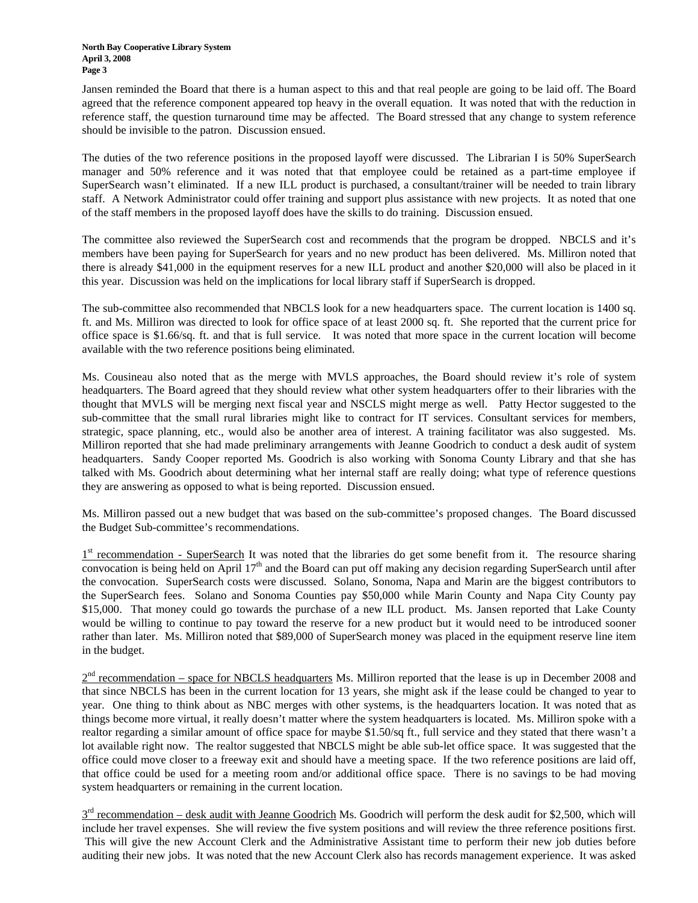Jansen reminded the Board that there is a human aspect to this and that real people are going to be laid off. The Board agreed that the reference component appeared top heavy in the overall equation. It was noted that with the reduction in reference staff, the question turnaround time may be affected. The Board stressed that any change to system reference should be invisible to the patron. Discussion ensued.

The duties of the two reference positions in the proposed layoff were discussed. The Librarian I is 50% SuperSearch manager and 50% reference and it was noted that that employee could be retained as a part-time employee if SuperSearch wasn't eliminated. If a new ILL product is purchased, a consultant/trainer will be needed to train library staff. A Network Administrator could offer training and support plus assistance with new projects. It as noted that one of the staff members in the proposed layoff does have the skills to do training. Discussion ensued.

The committee also reviewed the SuperSearch cost and recommends that the program be dropped. NBCLS and it's members have been paying for SuperSearch for years and no new product has been delivered. Ms. Milliron noted that there is already \$41,000 in the equipment reserves for a new ILL product and another \$20,000 will also be placed in it this year. Discussion was held on the implications for local library staff if SuperSearch is dropped.

The sub-committee also recommended that NBCLS look for a new headquarters space. The current location is 1400 sq. ft. and Ms. Milliron was directed to look for office space of at least 2000 sq. ft. She reported that the current price for office space is \$1.66/sq. ft. and that is full service. It was noted that more space in the current location will become available with the two reference positions being eliminated.

Ms. Cousineau also noted that as the merge with MVLS approaches, the Board should review it's role of system headquarters. The Board agreed that they should review what other system headquarters offer to their libraries with the thought that MVLS will be merging next fiscal year and NSCLS might merge as well. Patty Hector suggested to the sub-committee that the small rural libraries might like to contract for IT services. Consultant services for members, strategic, space planning, etc., would also be another area of interest. A training facilitator was also suggested. Ms. Milliron reported that she had made preliminary arrangements with Jeanne Goodrich to conduct a desk audit of system headquarters. Sandy Cooper reported Ms. Goodrich is also working with Sonoma County Library and that she has talked with Ms. Goodrich about determining what her internal staff are really doing; what type of reference questions they are answering as opposed to what is being reported. Discussion ensued.

Ms. Milliron passed out a new budget that was based on the sub-committee's proposed changes. The Board discussed the Budget Sub-committee's recommendations.

 $1<sup>st</sup>$  recommendation - SuperSearch It was noted that the libraries do get some benefit from it. The resource sharing convocation is being held on April  $17<sup>th</sup>$  and the Board can put off making any decision regarding SuperSearch until after the convocation. SuperSearch costs were discussed. Solano, Sonoma, Napa and Marin are the biggest contributors to the SuperSearch fees. Solano and Sonoma Counties pay \$50,000 while Marin County and Napa City County pay \$15,000. That money could go towards the purchase of a new ILL product. Ms. Jansen reported that Lake County would be willing to continue to pay toward the reserve for a new product but it would need to be introduced sooner rather than later. Ms. Milliron noted that \$89,000 of SuperSearch money was placed in the equipment reserve line item in the budget.

 $2<sup>nd</sup>$  recommendation – space for NBCLS headquarters Ms. Milliron reported that the lease is up in December 2008 and that since NBCLS has been in the current location for 13 years, she might ask if the lease could be changed to year to year. One thing to think about as NBC merges with other systems, is the headquarters location. It was noted that as things become more virtual, it really doesn't matter where the system headquarters is located. Ms. Milliron spoke with a realtor regarding a similar amount of office space for maybe \$1.50/sq ft., full service and they stated that there wasn't a lot available right now. The realtor suggested that NBCLS might be able sub-let office space. It was suggested that the office could move closer to a freeway exit and should have a meeting space. If the two reference positions are laid off, that office could be used for a meeting room and/or additional office space. There is no savings to be had moving system headquarters or remaining in the current location.

 $3<sup>rd</sup>$  recommendation – desk audit with Jeanne Goodrich Ms. Goodrich will perform the desk audit for \$2,500, which will include her travel expenses. She will review the five system positions and will review the three reference positions first. This will give the new Account Clerk and the Administrative Assistant time to perform their new job duties before auditing their new jobs. It was noted that the new Account Clerk also has records management experience. It was asked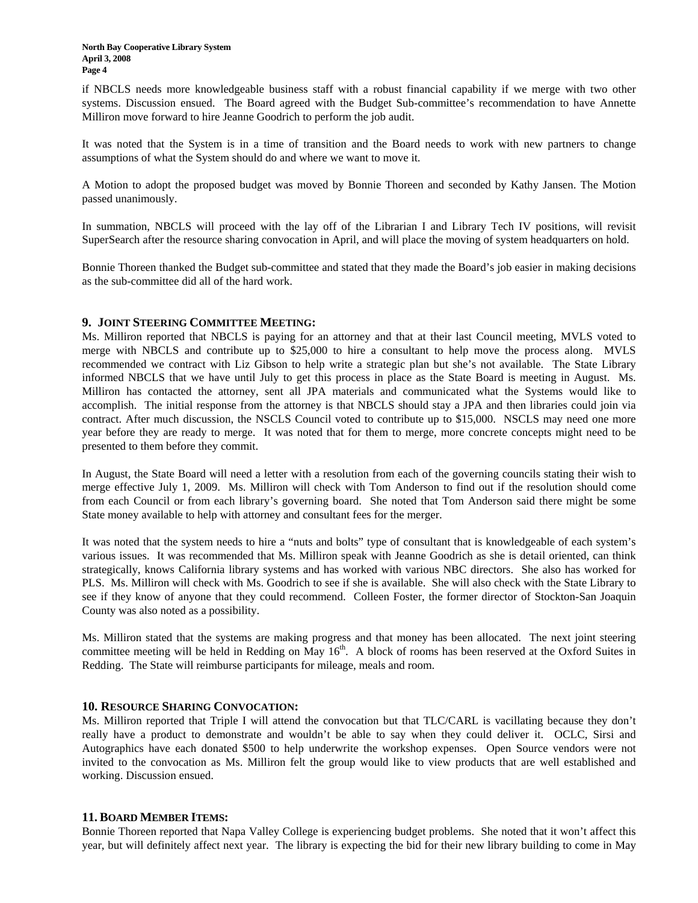if NBCLS needs more knowledgeable business staff with a robust financial capability if we merge with two other systems. Discussion ensued. The Board agreed with the Budget Sub-committee's recommendation to have Annette Milliron move forward to hire Jeanne Goodrich to perform the job audit.

It was noted that the System is in a time of transition and the Board needs to work with new partners to change assumptions of what the System should do and where we want to move it.

A Motion to adopt the proposed budget was moved by Bonnie Thoreen and seconded by Kathy Jansen. The Motion passed unanimously.

In summation, NBCLS will proceed with the lay off of the Librarian I and Library Tech IV positions, will revisit SuperSearch after the resource sharing convocation in April, and will place the moving of system headquarters on hold.

Bonnie Thoreen thanked the Budget sub-committee and stated that they made the Board's job easier in making decisions as the sub-committee did all of the hard work.

## **9. JOINT STEERING COMMITTEE MEETING:**

Ms. Milliron reported that NBCLS is paying for an attorney and that at their last Council meeting, MVLS voted to merge with NBCLS and contribute up to \$25,000 to hire a consultant to help move the process along. MVLS recommended we contract with Liz Gibson to help write a strategic plan but she's not available. The State Library informed NBCLS that we have until July to get this process in place as the State Board is meeting in August. Ms. Milliron has contacted the attorney, sent all JPA materials and communicated what the Systems would like to accomplish. The initial response from the attorney is that NBCLS should stay a JPA and then libraries could join via contract. After much discussion, the NSCLS Council voted to contribute up to \$15,000. NSCLS may need one more year before they are ready to merge. It was noted that for them to merge, more concrete concepts might need to be presented to them before they commit.

In August, the State Board will need a letter with a resolution from each of the governing councils stating their wish to merge effective July 1, 2009. Ms. Milliron will check with Tom Anderson to find out if the resolution should come from each Council or from each library's governing board. She noted that Tom Anderson said there might be some State money available to help with attorney and consultant fees for the merger.

It was noted that the system needs to hire a "nuts and bolts" type of consultant that is knowledgeable of each system's various issues. It was recommended that Ms. Milliron speak with Jeanne Goodrich as she is detail oriented, can think strategically, knows California library systems and has worked with various NBC directors. She also has worked for PLS. Ms. Milliron will check with Ms. Goodrich to see if she is available. She will also check with the State Library to see if they know of anyone that they could recommend. Colleen Foster, the former director of Stockton-San Joaquin County was also noted as a possibility.

Ms. Milliron stated that the systems are making progress and that money has been allocated. The next joint steering committee meeting will be held in Redding on May  $16<sup>th</sup>$ . A block of rooms has been reserved at the Oxford Suites in Redding. The State will reimburse participants for mileage, meals and room.

## **10. RESOURCE SHARING CONVOCATION:**

Ms. Milliron reported that Triple I will attend the convocation but that TLC/CARL is vacillating because they don't really have a product to demonstrate and wouldn't be able to say when they could deliver it. OCLC, Sirsi and Autographics have each donated \$500 to help underwrite the workshop expenses. Open Source vendors were not invited to the convocation as Ms. Milliron felt the group would like to view products that are well established and working. Discussion ensued.

## **11. BOARD MEMBER ITEMS:**

Bonnie Thoreen reported that Napa Valley College is experiencing budget problems. She noted that it won't affect this year, but will definitely affect next year. The library is expecting the bid for their new library building to come in May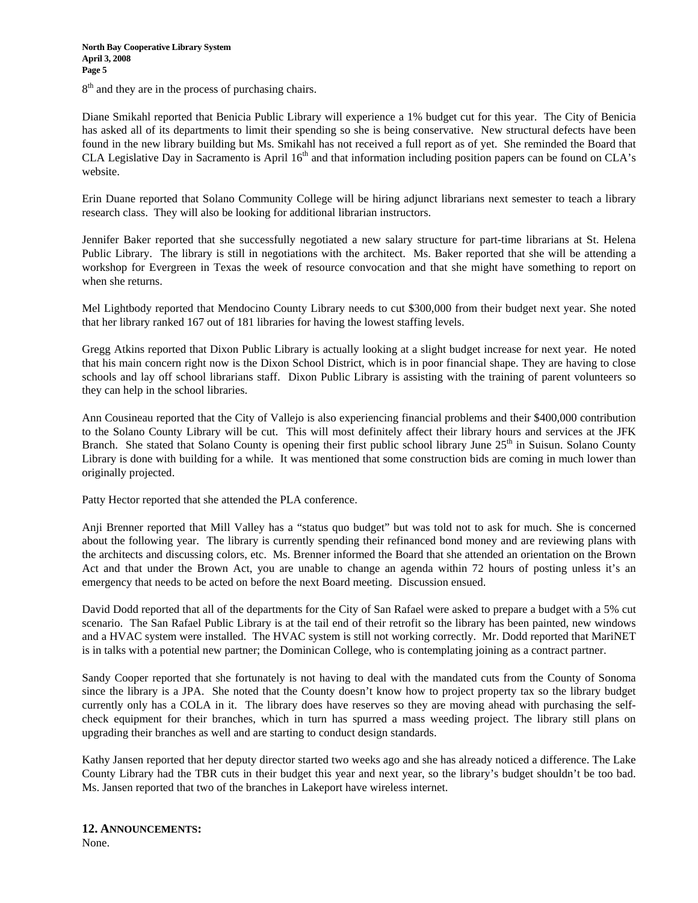8<sup>th</sup> and they are in the process of purchasing chairs.

Diane Smikahl reported that Benicia Public Library will experience a 1% budget cut for this year. The City of Benicia has asked all of its departments to limit their spending so she is being conservative. New structural defects have been found in the new library building but Ms. Smikahl has not received a full report as of yet. She reminded the Board that CLA Legislative Day in Sacramento is April  $16<sup>th</sup>$  and that information including position papers can be found on CLA's website.

Erin Duane reported that Solano Community College will be hiring adjunct librarians next semester to teach a library research class. They will also be looking for additional librarian instructors.

Jennifer Baker reported that she successfully negotiated a new salary structure for part-time librarians at St. Helena Public Library. The library is still in negotiations with the architect. Ms. Baker reported that she will be attending a workshop for Evergreen in Texas the week of resource convocation and that she might have something to report on when she returns.

Mel Lightbody reported that Mendocino County Library needs to cut \$300,000 from their budget next year. She noted that her library ranked 167 out of 181 libraries for having the lowest staffing levels.

Gregg Atkins reported that Dixon Public Library is actually looking at a slight budget increase for next year. He noted that his main concern right now is the Dixon School District, which is in poor financial shape. They are having to close schools and lay off school librarians staff. Dixon Public Library is assisting with the training of parent volunteers so they can help in the school libraries.

Ann Cousineau reported that the City of Vallejo is also experiencing financial problems and their \$400,000 contribution to the Solano County Library will be cut. This will most definitely affect their library hours and services at the JFK Branch. She stated that Solano County is opening their first public school library June 25<sup>th</sup> in Suisun. Solano County Library is done with building for a while. It was mentioned that some construction bids are coming in much lower than originally projected.

Patty Hector reported that she attended the PLA conference.

Anji Brenner reported that Mill Valley has a "status quo budget" but was told not to ask for much. She is concerned about the following year. The library is currently spending their refinanced bond money and are reviewing plans with the architects and discussing colors, etc. Ms. Brenner informed the Board that she attended an orientation on the Brown Act and that under the Brown Act, you are unable to change an agenda within 72 hours of posting unless it's an emergency that needs to be acted on before the next Board meeting. Discussion ensued.

David Dodd reported that all of the departments for the City of San Rafael were asked to prepare a budget with a 5% cut scenario. The San Rafael Public Library is at the tail end of their retrofit so the library has been painted, new windows and a HVAC system were installed. The HVAC system is still not working correctly. Mr. Dodd reported that MariNET is in talks with a potential new partner; the Dominican College, who is contemplating joining as a contract partner.

Sandy Cooper reported that she fortunately is not having to deal with the mandated cuts from the County of Sonoma since the library is a JPA. She noted that the County doesn't know how to project property tax so the library budget currently only has a COLA in it. The library does have reserves so they are moving ahead with purchasing the selfcheck equipment for their branches, which in turn has spurred a mass weeding project. The library still plans on upgrading their branches as well and are starting to conduct design standards.

Kathy Jansen reported that her deputy director started two weeks ago and she has already noticed a difference. The Lake County Library had the TBR cuts in their budget this year and next year, so the library's budget shouldn't be too bad. Ms. Jansen reported that two of the branches in Lakeport have wireless internet.